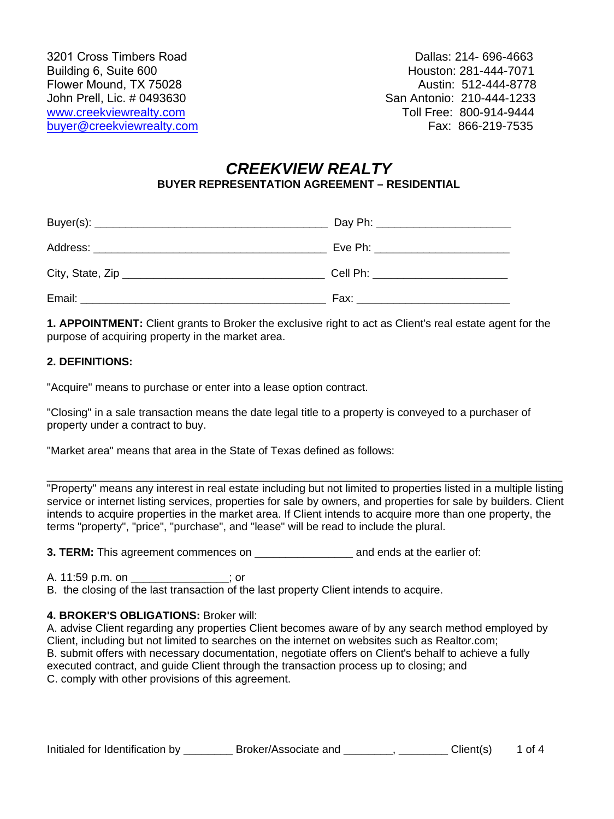Dallas: 214- 696-4663 Houston: 281-444-7071 Austin: 512-444-8778 San Antonio: 210-444-1233 Toll Free: 800-914-9444

# *CREEKVIEW REALTY*  **BUYER REPRESENTATION AGREEMENT – RESIDENTIAL**

| Cell Ph: ____________________                                                                                                                                                                                                  |
|--------------------------------------------------------------------------------------------------------------------------------------------------------------------------------------------------------------------------------|
| Fax: France Contract Contract Contract Contract Contract Contract Contract Contract Contract Contract Contract Contract Contract Contract Contract Contract Contract Contract Contract Contract Contract Contract Contract Con |

**1. APPOINTMENT:** Client grants to Broker the exclusive right to act as Client's real estate agent for the purpose of acquiring property in the market area.

### **2. DEFINITIONS:**

"Acquire" means to purchase or enter into a lease option contract.

"Closing" in a sale transaction means the date legal title to a property is conveyed to a purchaser of property under a contract to buy.

"Market area" means that area in the State of Texas defined as follows:

\_\_\_\_\_\_\_\_\_\_\_\_\_\_\_\_\_\_\_\_\_\_\_\_\_\_\_\_\_\_\_\_\_\_\_\_\_\_\_\_\_\_\_\_\_\_\_\_\_\_\_\_\_\_\_\_\_\_\_\_\_\_\_\_\_\_\_\_\_\_\_\_\_\_\_\_\_\_\_\_\_\_\_\_ "Property" means any interest in real estate including but not limited to properties listed in a multiple listing service or internet listing services, properties for sale by owners, and properties for sale by builders. Client intends to acquire properties in the market area. If Client intends to acquire more than one property, the terms "property", "price", "purchase", and "lease" will be read to include the plural.

**3. TERM:** This agreement commences on \_\_\_\_\_\_\_\_\_\_\_\_\_\_\_\_ and ends at the earlier of:

A. 11:59 p.m. on \_\_\_\_\_\_\_\_\_\_\_\_\_\_\_\_; or

B. the closing of the last transaction of the last property Client intends to acquire.

### **4. BROKER'S OBLIGATIONS:** Broker will:

A. advise Client regarding any properties Client becomes aware of by any search method employed by Client, including but not limited to searches on the internet on websites such as Realtor.com; B. submit offers with necessary documentation, negotiate offers on Client's behalf to achieve a fully executed contract, and guide Client through the transaction process up to closing; and C. comply with other provisions of this agreement.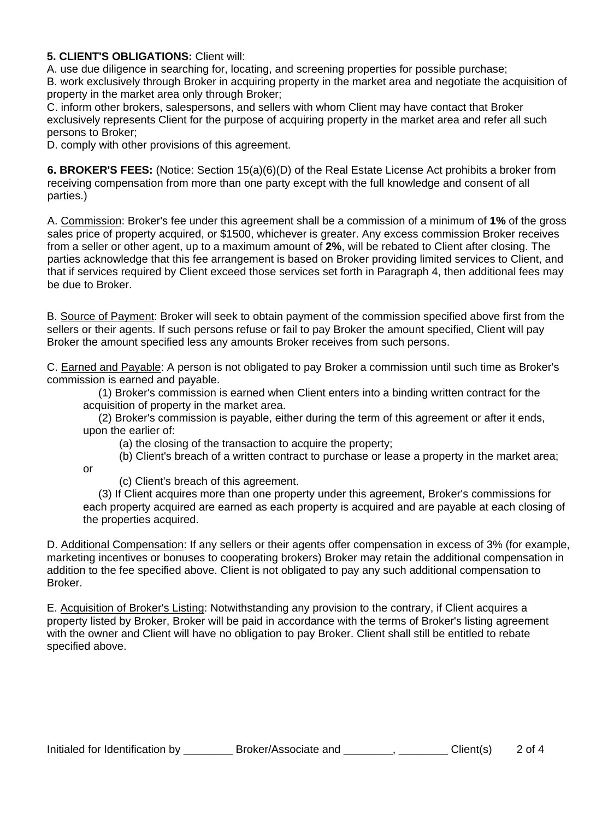### **5. CLIENT'S OBLIGATIONS:** Client will:

A. use due diligence in searching for, locating, and screening properties for possible purchase;

B. work exclusively through Broker in acquiring property in the market area and negotiate the acquisition of property in the market area only through Broker;

C. inform other brokers, salespersons, and sellers with whom Client may have contact that Broker exclusively represents Client for the purpose of acquiring property in the market area and refer all such persons to Broker;

D. comply with other provisions of this agreement.

**6. BROKER'S FEES:** (Notice: Section 15(a)(6)(D) of the Real Estate License Act prohibits a broker from receiving compensation from more than one party except with the full knowledge and consent of all parties.)

A. Commission: Broker's fee under this agreement shall be a commission of a minimum of **1%** of the gross sales price of property acquired, or \$1500, whichever is greater. Any excess commission Broker receives from a seller or other agent, up to a maximum amount of **2%**, will be rebated to Client after closing. The parties acknowledge that this fee arrangement is based on Broker providing limited services to Client, and that if services required by Client exceed those services set forth in Paragraph 4, then additional fees may be due to Broker.

B. Source of Payment: Broker will seek to obtain payment of the commission specified above first from the sellers or their agents. If such persons refuse or fail to pay Broker the amount specified, Client will pay Broker the amount specified less any amounts Broker receives from such persons.

C. Earned and Payable: A person is not obligated to pay Broker a commission until such time as Broker's commission is earned and payable.

(1) Broker's commission is earned when Client enters into a binding written contract for the acquisition of property in the market area.

(2) Broker's commission is payable, either during the term of this agreement or after it ends, upon the earlier of:

(a) the closing of the transaction to acquire the property;

(b) Client's breach of a written contract to purchase or lease a property in the market area;

or

(c) Client's breach of this agreement.

(3) If Client acquires more than one property under this agreement, Broker's commissions for each property acquired are earned as each property is acquired and are payable at each closing of the properties acquired.

D. Additional Compensation: If any sellers or their agents offer compensation in excess of 3% (for example, marketing incentives or bonuses to cooperating brokers) Broker may retain the additional compensation in addition to the fee specified above. Client is not obligated to pay any such additional compensation to Broker.

E. Acquisition of Broker's Listing: Notwithstanding any provision to the contrary, if Client acquires a property listed by Broker, Broker will be paid in accordance with the terms of Broker's listing agreement with the owner and Client will have no obligation to pay Broker. Client shall still be entitled to rebate specified above.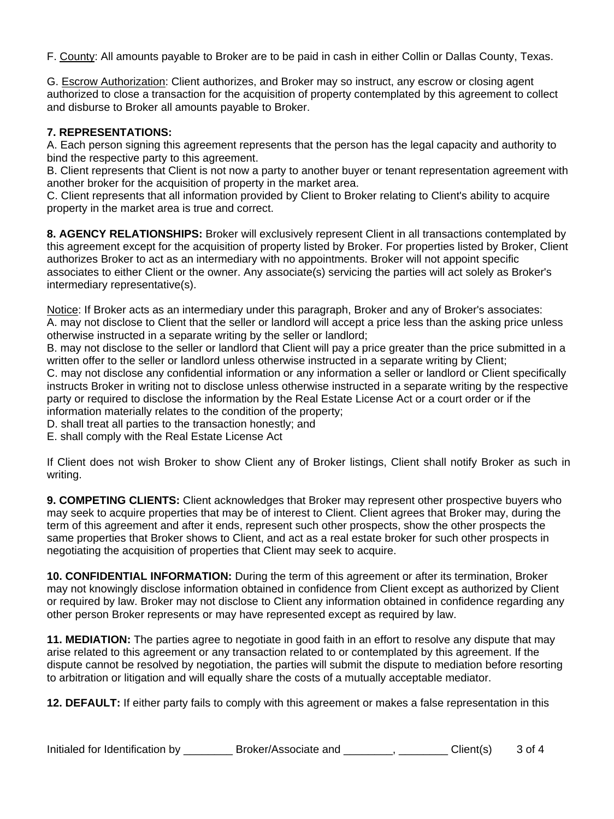F. County: All amounts payable to Broker are to be paid in cash in either Collin or Dallas County, Texas.

G. Escrow Authorization: Client authorizes, and Broker may so instruct, any escrow or closing agent authorized to close a transaction for the acquisition of property contemplated by this agreement to collect and disburse to Broker all amounts payable to Broker.

## **7. REPRESENTATIONS:**

A. Each person signing this agreement represents that the person has the legal capacity and authority to bind the respective party to this agreement.

B. Client represents that Client is not now a party to another buyer or tenant representation agreement with another broker for the acquisition of property in the market area.

C. Client represents that all information provided by Client to Broker relating to Client's ability to acquire property in the market area is true and correct.

**8. AGENCY RELATIONSHIPS:** Broker will exclusively represent Client in all transactions contemplated by this agreement except for the acquisition of property listed by Broker. For properties listed by Broker, Client authorizes Broker to act as an intermediary with no appointments. Broker will not appoint specific associates to either Client or the owner. Any associate(s) servicing the parties will act solely as Broker's intermediary representative(s).

Notice: If Broker acts as an intermediary under this paragraph, Broker and any of Broker's associates: A. may not disclose to Client that the seller or landlord will accept a price less than the asking price unless otherwise instructed in a separate writing by the seller or landlord;

B. may not disclose to the seller or landlord that Client will pay a price greater than the price submitted in a written offer to the seller or landlord unless otherwise instructed in a separate writing by Client;

C. may not disclose any confidential information or any information a seller or landlord or Client specifically instructs Broker in writing not to disclose unless otherwise instructed in a separate writing by the respective party or required to disclose the information by the Real Estate License Act or a court order or if the information materially relates to the condition of the property;

D. shall treat all parties to the transaction honestly; and

E. shall comply with the Real Estate License Act

If Client does not wish Broker to show Client any of Broker listings, Client shall notify Broker as such in writing.

**9. COMPETING CLIENTS:** Client acknowledges that Broker may represent other prospective buyers who may seek to acquire properties that may be of interest to Client. Client agrees that Broker may, during the term of this agreement and after it ends, represent such other prospects, show the other prospects the same properties that Broker shows to Client, and act as a real estate broker for such other prospects in negotiating the acquisition of properties that Client may seek to acquire.

**10. CONFIDENTIAL INFORMATION:** During the term of this agreement or after its termination, Broker may not knowingly disclose information obtained in confidence from Client except as authorized by Client or required by law. Broker may not disclose to Client any information obtained in confidence regarding any other person Broker represents or may have represented except as required by law.

**11. MEDIATION:** The parties agree to negotiate in good faith in an effort to resolve any dispute that may arise related to this agreement or any transaction related to or contemplated by this agreement. If the dispute cannot be resolved by negotiation, the parties will submit the dispute to mediation before resorting to arbitration or litigation and will equally share the costs of a mutually acceptable mediator.

**12. DEFAULT:** If either party fails to comply with this agreement or makes a false representation in this

| Initialed for Identification by | Broker/Associate and | Client(s) | 3 of 4 |
|---------------------------------|----------------------|-----------|--------|
|---------------------------------|----------------------|-----------|--------|